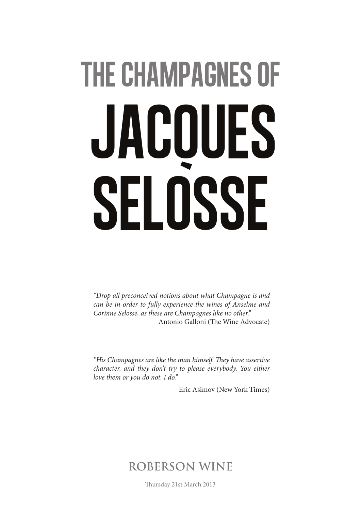# the champagnes of JACOUES selosse

*"Drop all preconceived notions about what Champagne is and can be in order to fully experience the wines of Anselme and Corinne Selosse, as these are Champagnes like no other."* Antonio Galloni (The Wine Advocate)

*"His Champagnes are like the man himself. They have assertive character, and they don't try to please everybody. You either love them or you do not. I do."*

Eric Asimov (New York Times)

#### **ROBERSON WINE**

Thursday 21st March 2013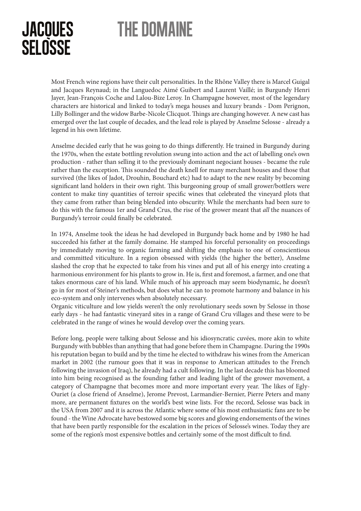## the domaine

#### **JACOUES SELOSSE**

Most French wine regions have their cult personalities. In the Rhône Valley there is Marcel Guigal and Jacques Reynaud; in the Languedoc Aimé Guibert and Laurent Vaillé; in Burgundy Henri Jayer, Jean-François Coche and Lalou-Bize Leroy. In Champagne however, most of the legendary characters are historical and linked to today's mega houses and luxury brands - Dom Perignon, Lilly Bollinger and the widow Barbe-Nicole Clicquot. Things are changing however. A new cast has emerged over the last couple of decades, and the lead role is played by Anselme Selosse - already a legend in his own lifetime.

Anselme decided early that he was going to do things differently. He trained in Burgundy during the 1970s, when the estate bottling revolution swung into action and the act of labelling one's own production - rather than selling it to the previously dominant negociant houses - became the rule rather than the exception. This sounded the death knell for many merchant houses and those that survived (the likes of Jadot, Drouhin, Bouchard etc) had to adapt to the new reality by becoming significant land holders in their own right. This burgeoning group of small grower/bottlers were content to make tiny quantities of terroir specific wines that celebrated the vineyard plots that they came from rather than being blended into obscurity. While the merchants had been sure to do this with the famous 1er and Grand Crus, the rise of the grower meant that *all* the nuances of Burgundy's terroir could finally be celebrated.

In 1974, Anselme took the ideas he had developed in Burgundy back home and by 1980 he had succeeded his father at the family domaine. He stamped his forceful personality on proceedings by immediately moving to organic farming and shifting the emphasis to one of conscientious and committed viticulture. In a region obsessed with yields (the higher the better), Anselme slashed the crop that he expected to take from his vines and put all of his energy into creating a harmonious environment for his plants to grow in. He is, first and foremost, a farmer, and one that takes enormous care of his land. While much of his approach may seem biodynamic, he doesn't go in for most of Steiner's methods, but does what he can to promote harmony and balance in his eco-system and only intervenes when absolutely necessary.

Organic viticulture and low yields weren't the only revolutionary seeds sown by Selosse in those early days - he had fantastic vineyard sites in a range of Grand Cru villages and these were to be celebrated in the range of wines he would develop over the coming years.

Before long, people were talking about Selosse and his idiosyncratic cuvées, more akin to white Burgundy with bubbles than anything that had gone before them in Champagne. During the 1990s his reputation began to build and by the time he elected to withdraw his wines from the American market in 2002 (the rumour goes that it was in response to American attitudes to the French following the invasion of Iraq), he already had a cult following. In the last decade this has bloomed into him being recognised as the founding father and leading light of the grower movement, a category of Champagne that becomes more and more important every year. The likes of Egly-Ouriet (a close friend of Anselme), Jerome Prevost, Larmandier-Bernier, Pierre Peters and many more, are permanent fixtures on the world's best wine lists. For the record, Selosse was back in the USA from 2007 and it is across the Atlantic where some of his most enthusiastic fans are to be found - the Wine Advocate have bestowed some big scores and glowing endorsements of the wines that have been partly responsible for the escalation in the prices of Selosse's wines. Today they are some of the region's most expensive bottles and certainly some of the most difficult to find.